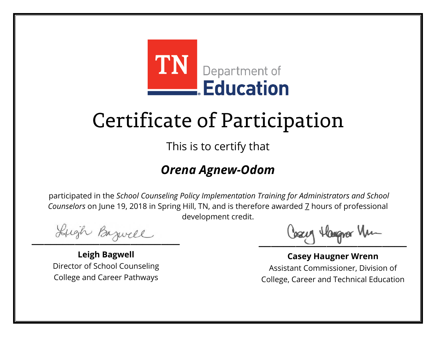

This is to certify that

#### *Orena Agnew-Odom*

Lugh Bazwell

**Leigh Bagwell** Director of School Counseling College and Career Pathways

Losey Hangra Vm

**Casey Haugner Wrenn** Assistant Commissioner, Division of College, Career and Technical Education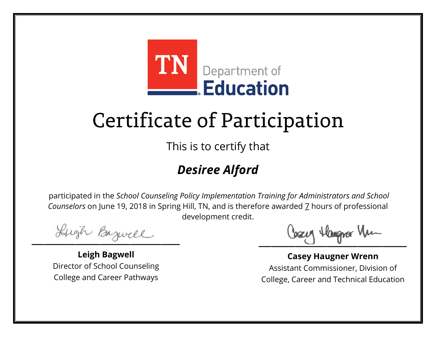

This is to certify that

### *Desiree Alford*

Lugh Bazwell

**Leigh Bagwell** Director of School Counseling College and Career Pathways

Losey Hangra Vm

**Casey Haugner Wrenn** Assistant Commissioner, Division of College, Career and Technical Education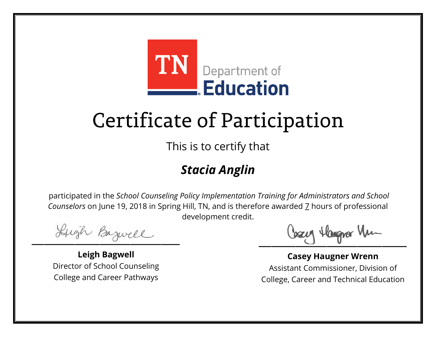

This is to certify that

### *Stacia Anglin*

Lugh Bazwell

**Leigh Bagwell** Director of School Counseling College and Career Pathways

Losey Hangra Vm

**Casey Haugner Wrenn** Assistant Commissioner, Division of College, Career and Technical Education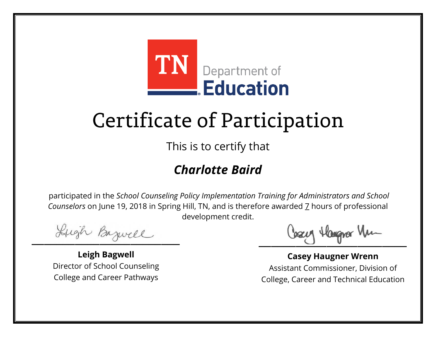

This is to certify that

### *Charlotte Baird*

Lugh Bazwell

**Leigh Bagwell** Director of School Counseling College and Career Pathways

Losey Hangra Vm

**Casey Haugner Wrenn** Assistant Commissioner, Division of College, Career and Technical Education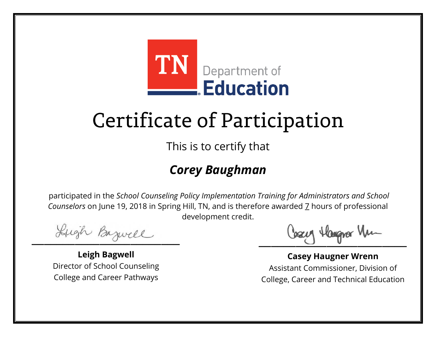

This is to certify that

### *Corey Baughman*

Lugh Bazwell

**Leigh Bagwell** Director of School Counseling College and Career Pathways

Losey Hangra Vm

**Casey Haugner Wrenn** Assistant Commissioner, Division of College, Career and Technical Education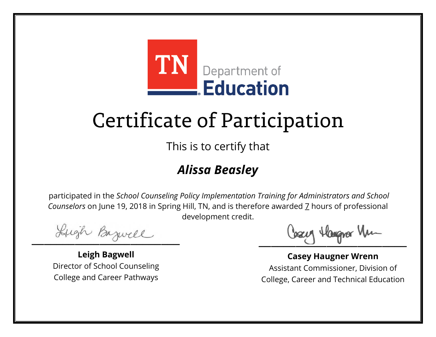

This is to certify that

### *Alissa Beasley*

Lugh Bazwell

**Leigh Bagwell** Director of School Counseling College and Career Pathways

Losey Hangra Vm

**Casey Haugner Wrenn** Assistant Commissioner, Division of College, Career and Technical Education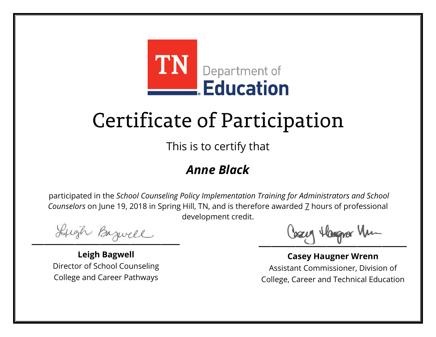

This is to certify that

#### *Anne Black*

Lugh Bazwell

**Leigh Bagwell** Director of School Counseling College and Career Pathways

Losey Hangra Vm

**Casey Haugner Wrenn** Assistant Commissioner, Division of College, Career and Technical Education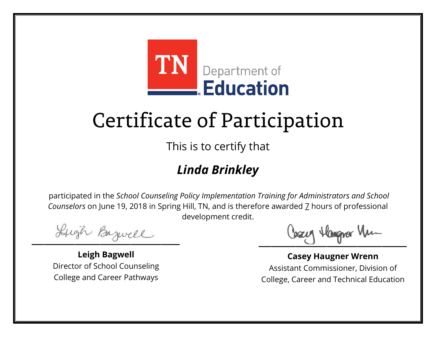

This is to certify that

### *Linda Brinkley*

Lugh Bazwell

**Leigh Bagwell** Director of School Counseling College and Career Pathways

Losey Hangra Vm

**Casey Haugner Wrenn** Assistant Commissioner, Division of College, Career and Technical Education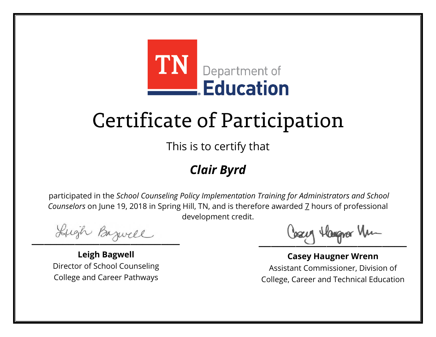

This is to certify that

### *Clair Byrd*

Lugh Bazwell

**Leigh Bagwell** Director of School Counseling College and Career Pathways

Losey Hangra Vm

**Casey Haugner Wrenn** Assistant Commissioner, Division of College, Career and Technical Education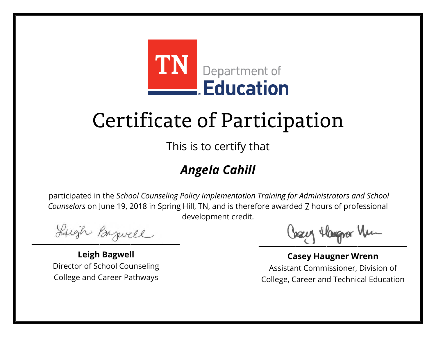

This is to certify that

### *Angela Cahill*

Lugh Bazwell

**Leigh Bagwell** Director of School Counseling College and Career Pathways

Losey Hangra Vm

**Casey Haugner Wrenn** Assistant Commissioner, Division of College, Career and Technical Education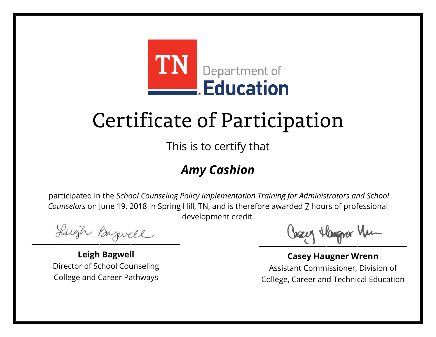

This is to certify that

### *Amy Cashion*

Lugh Bazwell

**Leigh Bagwell** Director of School Counseling College and Career Pathways

Losey Hangra Vm

**Casey Haugner Wrenn** Assistant Commissioner, Division of College, Career and Technical Education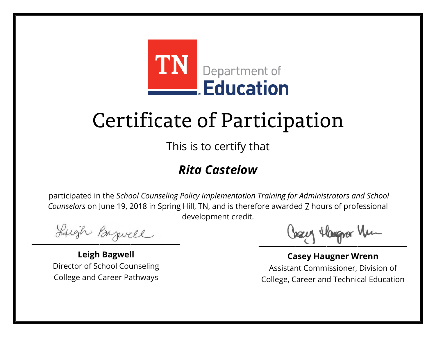

This is to certify that

### *Rita Castelow*

Lugh Bazwell

**Leigh Bagwell** Director of School Counseling College and Career Pathways

Losey Hangra Vm

**Casey Haugner Wrenn** Assistant Commissioner, Division of College, Career and Technical Education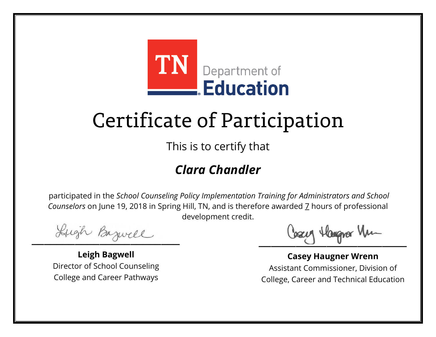

This is to certify that

### *Clara Chandler*

Lugh Bazwell

**Leigh Bagwell** Director of School Counseling College and Career Pathways

Losey Hangra Vm

**Casey Haugner Wrenn** Assistant Commissioner, Division of College, Career and Technical Education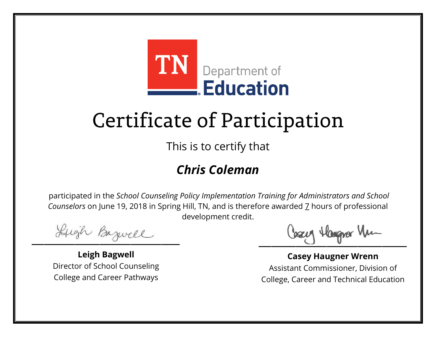

This is to certify that

### *Chris Coleman*

Lugh Bazwell

**Leigh Bagwell** Director of School Counseling College and Career Pathways

Losey Hangra Vm

**Casey Haugner Wrenn** Assistant Commissioner, Division of College, Career and Technical Education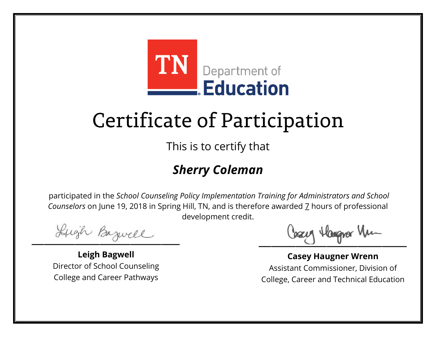

This is to certify that

### *Sherry Coleman*

Lugh Bazwell

**Leigh Bagwell** Director of School Counseling College and Career Pathways

Losey Hangra Vm

**Casey Haugner Wrenn** Assistant Commissioner, Division of College, Career and Technical Education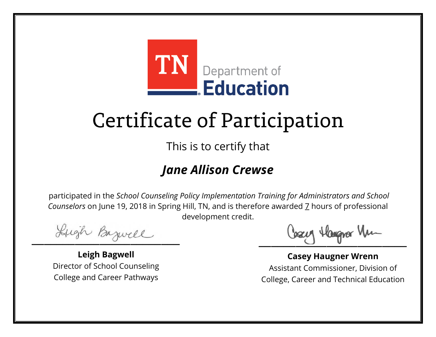

This is to certify that

#### *Jane Allison Crewse*

Lugh Bazwell

**Leigh Bagwell** Director of School Counseling College and Career Pathways

Losey Hangra Vm

**Casey Haugner Wrenn** Assistant Commissioner, Division of College, Career and Technical Education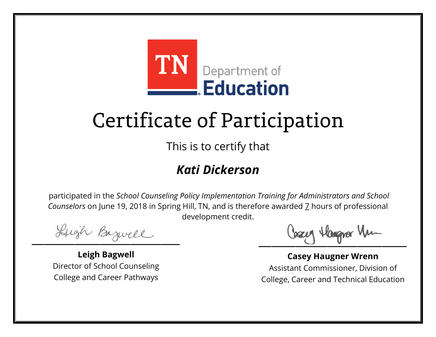

This is to certify that

### *Kati Dickerson*

Lugh Bazwell

**Leigh Bagwell** Director of School Counseling College and Career Pathways

Losey Hangra Vm

**Casey Haugner Wrenn** Assistant Commissioner, Division of College, Career and Technical Education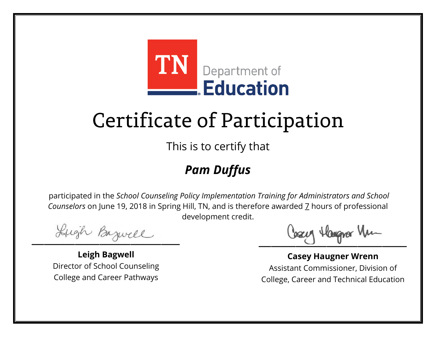

This is to certify that

### *Pam Duffus*

Lugh Bazwell

**Leigh Bagwell** Director of School Counseling College and Career Pathways

Losey Hangra Vm

**Casey Haugner Wrenn** Assistant Commissioner, Division of College, Career and Technical Education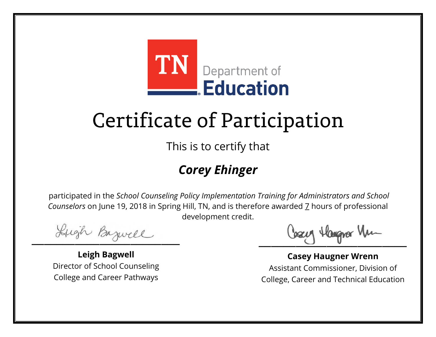

This is to certify that

### *Corey Ehinger*

Lugh Bazwell

**Leigh Bagwell** Director of School Counseling College and Career Pathways

Losey Hangra Vm

**Casey Haugner Wrenn** Assistant Commissioner, Division of College, Career and Technical Education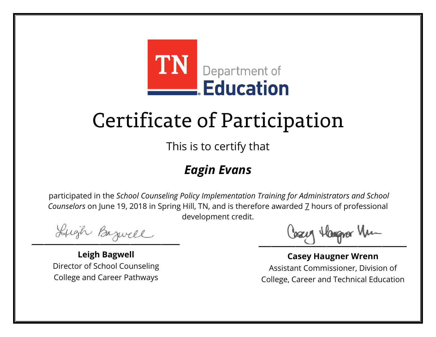

This is to certify that

### *Eagin Evans*

Lugh Bazwell

**Leigh Bagwell** Director of School Counseling College and Career Pathways

Losey Hangra Vm

**Casey Haugner Wrenn** Assistant Commissioner, Division of College, Career and Technical Education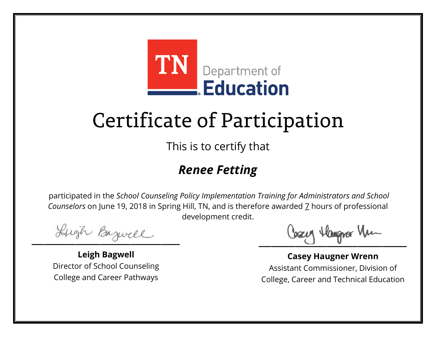

This is to certify that

### *Renee Fetting*

Lugh Bazwell

**Leigh Bagwell** Director of School Counseling College and Career Pathways

Losey Hangra Vm

**Casey Haugner Wrenn** Assistant Commissioner, Division of College, Career and Technical Education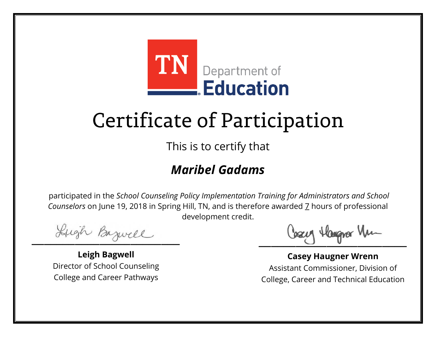

This is to certify that

### *Maribel Gadams*

Lugh Bazwell

**Leigh Bagwell** Director of School Counseling College and Career Pathways

Losey Hangra Vm

**Casey Haugner Wrenn** Assistant Commissioner, Division of College, Career and Technical Education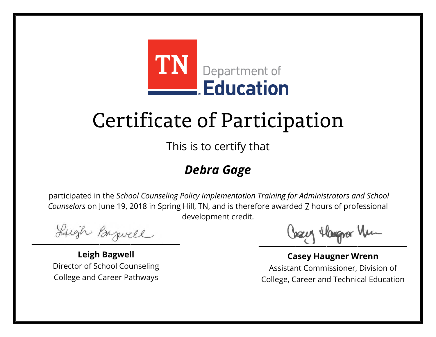

This is to certify that

### *Debra Gage*

Lugh Bazwell

**Leigh Bagwell** Director of School Counseling College and Career Pathways

Losey Hangra Vm

**Casey Haugner Wrenn** Assistant Commissioner, Division of College, Career and Technical Education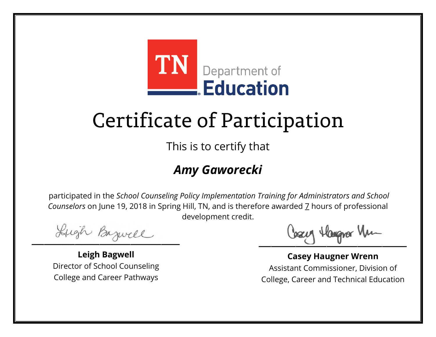

This is to certify that

### *Amy Gaworecki*

Lugh Bazwell

**Leigh Bagwell** Director of School Counseling College and Career Pathways

Losey Hangra Vm

**Casey Haugner Wrenn** Assistant Commissioner, Division of College, Career and Technical Education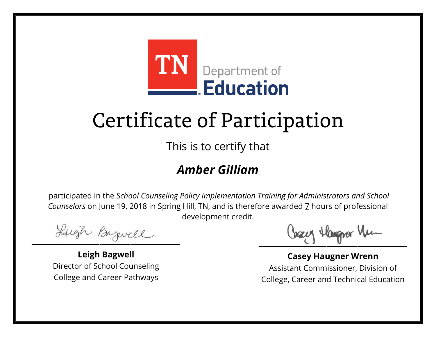

This is to certify that

#### *Amber Gilliam*

Lugh Bazwell

**Leigh Bagwell** Director of School Counseling College and Career Pathways

Losey Hangra Vm

**Casey Haugner Wrenn** Assistant Commissioner, Division of College, Career and Technical Education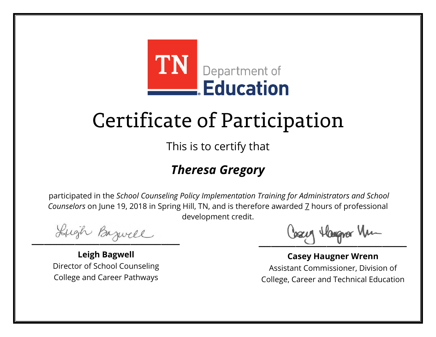

This is to certify that

### *Theresa Gregory*

Lugh Bazwell

**Leigh Bagwell** Director of School Counseling College and Career Pathways

Losey Hangra Vm

**Casey Haugner Wrenn** Assistant Commissioner, Division of College, Career and Technical Education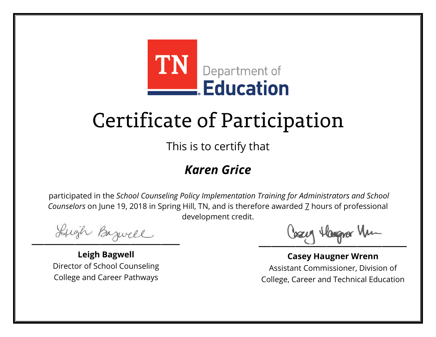

This is to certify that

#### *Karen Grice*

Lugh Bazwell

**Leigh Bagwell** Director of School Counseling College and Career Pathways

Losey Hangra Vm

**Casey Haugner Wrenn** Assistant Commissioner, Division of College, Career and Technical Education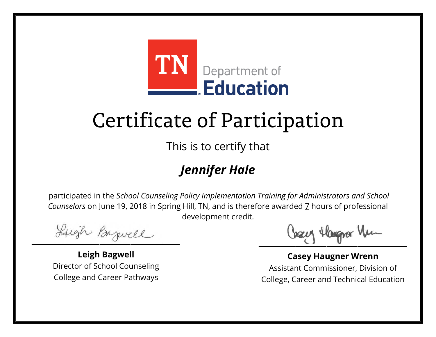

This is to certify that

### *Jennifer Hale*

Lugh Bazwell

**Leigh Bagwell** Director of School Counseling College and Career Pathways

Losey Hangra Vm

**Casey Haugner Wrenn** Assistant Commissioner, Division of College, Career and Technical Education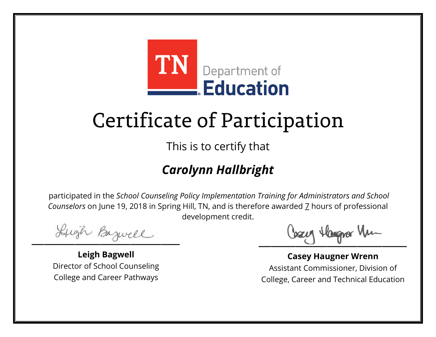

This is to certify that

### *Carolynn Hallbright*

Lugh Bazwell

**Leigh Bagwell** Director of School Counseling College and Career Pathways

Losey Hangra Vm

**Casey Haugner Wrenn** Assistant Commissioner, Division of College, Career and Technical Education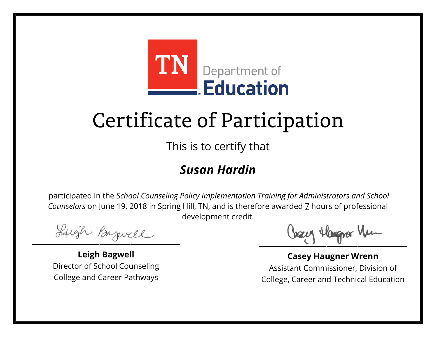

This is to certify that

#### *Susan Hardin*

Lugh Bazwell

**Leigh Bagwell** Director of School Counseling College and Career Pathways

Losey Hangra Vm

**Casey Haugner Wrenn** Assistant Commissioner, Division of College, Career and Technical Education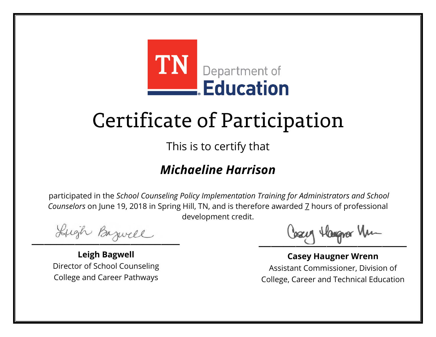

This is to certify that

#### *Michaeline Harrison*

Lugh Bazwell

**Leigh Bagwell** Director of School Counseling College and Career Pathways

Losey Hangra Vm

**Casey Haugner Wrenn** Assistant Commissioner, Division of College, Career and Technical Education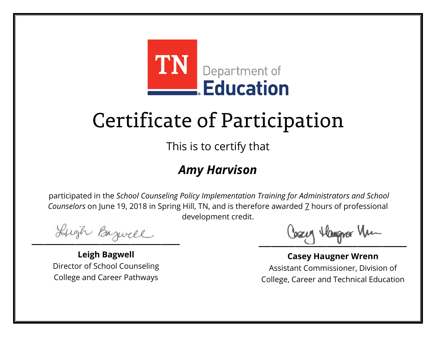

This is to certify that

#### *Amy Harvison*

Lugh Bazwell

**Leigh Bagwell** Director of School Counseling College and Career Pathways

Losey Hangra Vm

**Casey Haugner Wrenn** Assistant Commissioner, Division of College, Career and Technical Education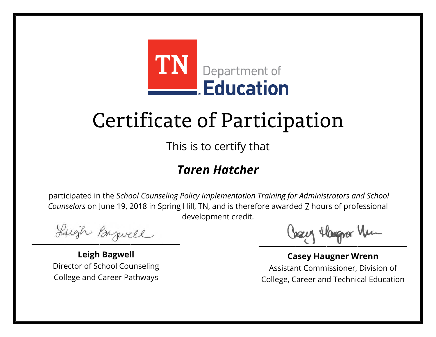

This is to certify that

#### *Taren Hatcher*

Lugh Bazwell

**Leigh Bagwell** Director of School Counseling College and Career Pathways

Losey Hangra Vm

**Casey Haugner Wrenn** Assistant Commissioner, Division of College, Career and Technical Education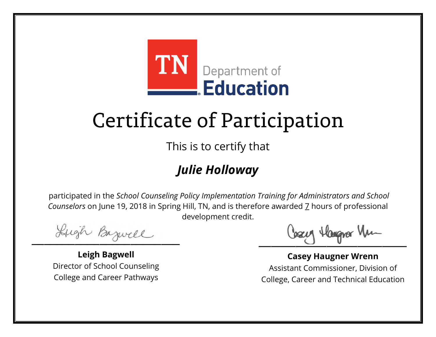

This is to certify that

### *Julie Holloway*

Lugh Bazwell

**Leigh Bagwell** Director of School Counseling College and Career Pathways

Losey Hangra Vm

**Casey Haugner Wrenn** Assistant Commissioner, Division of College, Career and Technical Education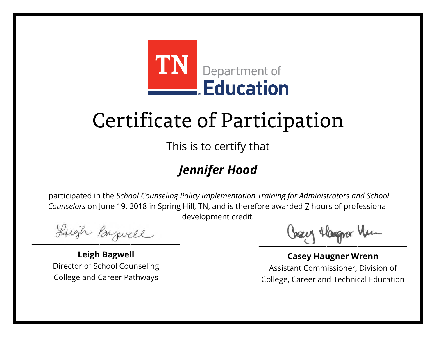

This is to certify that

### *Jennifer Hood*

Lugh Bazwell

**Leigh Bagwell** Director of School Counseling College and Career Pathways

Losey Hangra Vm

**Casey Haugner Wrenn** Assistant Commissioner, Division of College, Career and Technical Education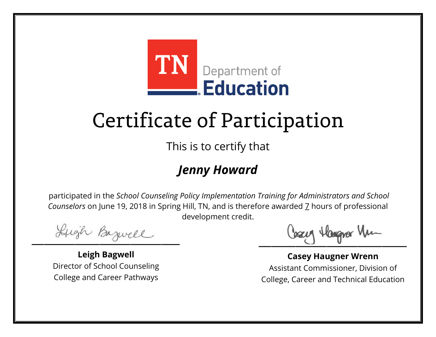

This is to certify that

### *Jenny Howard*

Lugh Bazwell

**Leigh Bagwell** Director of School Counseling College and Career Pathways

Losey Hangra Vm

**Casey Haugner Wrenn** Assistant Commissioner, Division of College, Career and Technical Education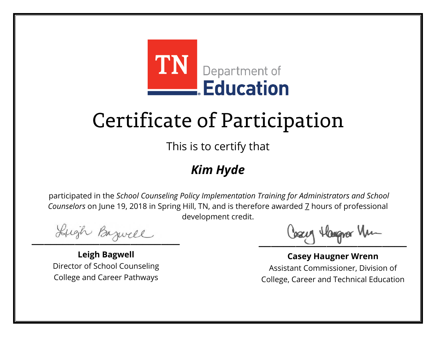

This is to certify that

### *Kim Hyde*

Lugh Bazwell

**Leigh Bagwell** Director of School Counseling College and Career Pathways

Losey Hangra Vm

**Casey Haugner Wrenn** Assistant Commissioner, Division of College, Career and Technical Education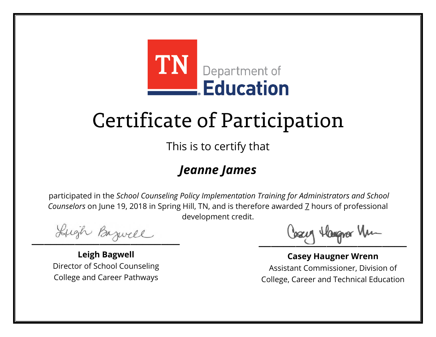

This is to certify that

### *Jeanne James*

Lugh Bazwell

**Leigh Bagwell** Director of School Counseling College and Career Pathways

Losey Hangra Vm

**Casey Haugner Wrenn** Assistant Commissioner, Division of College, Career and Technical Education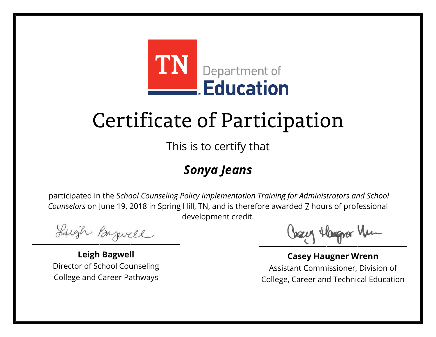

This is to certify that

### *Sonya Jeans*

Lugh Bazwell

**Leigh Bagwell** Director of School Counseling College and Career Pathways

Losey Hangra Vm

**Casey Haugner Wrenn** Assistant Commissioner, Division of College, Career and Technical Education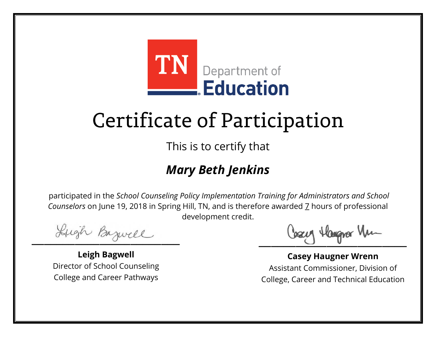

This is to certify that

### *Mary Beth Jenkins*

Lugh Bazwell

**Leigh Bagwell** Director of School Counseling College and Career Pathways

Losey Hangra Vm

**Casey Haugner Wrenn** Assistant Commissioner, Division of College, Career and Technical Education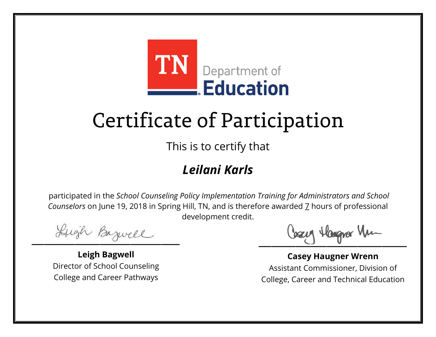

This is to certify that

### *Leilani Karls*

Lugh Bazwell

**Leigh Bagwell** Director of School Counseling College and Career Pathways

Losey Hangra Vm

**Casey Haugner Wrenn** Assistant Commissioner, Division of College, Career and Technical Education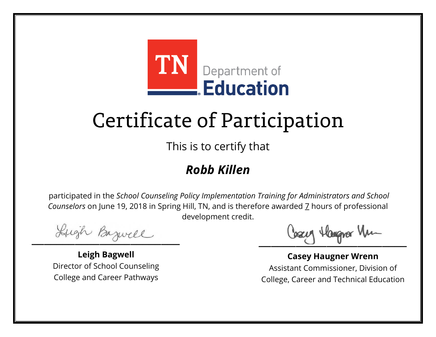

This is to certify that

### *Robb Killen*

Lugh Bazwell

**Leigh Bagwell** Director of School Counseling College and Career Pathways

Losey Hangra Vm

**Casey Haugner Wrenn** Assistant Commissioner, Division of College, Career and Technical Education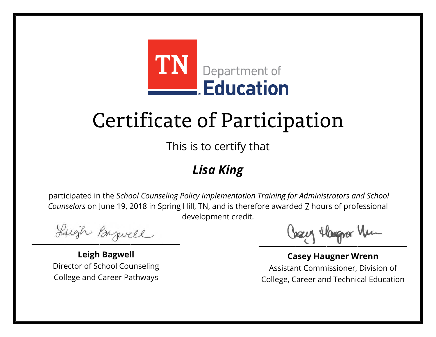

This is to certify that

### *Lisa King*

Lugh Bazwell

**Leigh Bagwell** Director of School Counseling College and Career Pathways

Losey Hangra Vm

**Casey Haugner Wrenn** Assistant Commissioner, Division of College, Career and Technical Education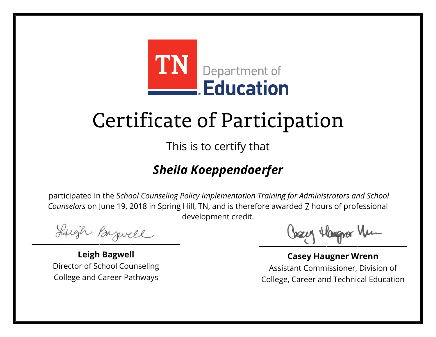

This is to certify that

### *Sheila Koeppendoerfer*

Lugh Bazwell

**Leigh Bagwell** Director of School Counseling College and Career Pathways

Cosey Hangra Vm

**Casey Haugner Wrenn** Assistant Commissioner, Division of College, Career and Technical Education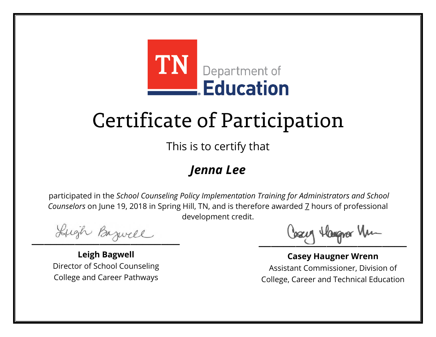

This is to certify that

### *Jenna Lee*

Lugh Bazwell

**Leigh Bagwell** Director of School Counseling College and Career Pathways

Losey Hangra Vm

**Casey Haugner Wrenn** Assistant Commissioner, Division of College, Career and Technical Education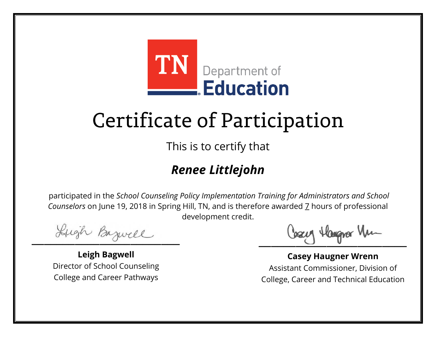

This is to certify that

### *Renee Littlejohn*

Lugh Bazwell

**Leigh Bagwell** Director of School Counseling College and Career Pathways

Losey Hangra Vm

**Casey Haugner Wrenn** Assistant Commissioner, Division of College, Career and Technical Education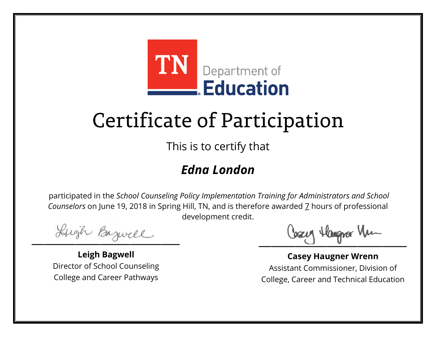

This is to certify that

### *Edna London*

Lugh Bazwell

**Leigh Bagwell** Director of School Counseling College and Career Pathways

Losey Hangra Vm

**Casey Haugner Wrenn** Assistant Commissioner, Division of College, Career and Technical Education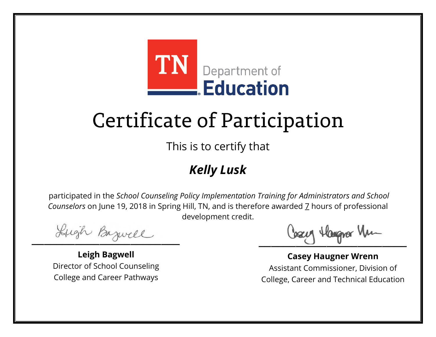

This is to certify that

### *Kelly Lusk*

Lugh Bazwell

**Leigh Bagwell** Director of School Counseling College and Career Pathways

Losey Hangra Vm

**Casey Haugner Wrenn** Assistant Commissioner, Division of College, Career and Technical Education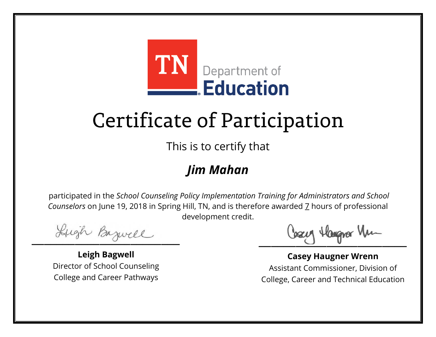

This is to certify that

### *Jim Mahan*

Lugh Bazwell

**Leigh Bagwell** Director of School Counseling College and Career Pathways

Losey Hangra Vm

**Casey Haugner Wrenn** Assistant Commissioner, Division of College, Career and Technical Education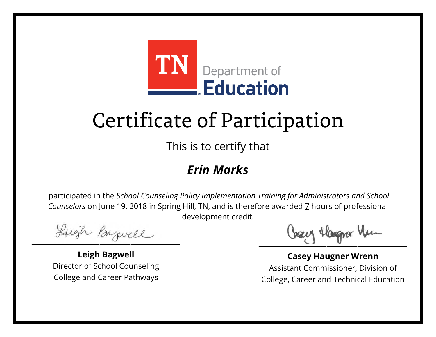

This is to certify that

### *Erin Marks*

Lugh Bazwell

**Leigh Bagwell** Director of School Counseling College and Career Pathways

Losey Hangra Vm

**Casey Haugner Wrenn** Assistant Commissioner, Division of College, Career and Technical Education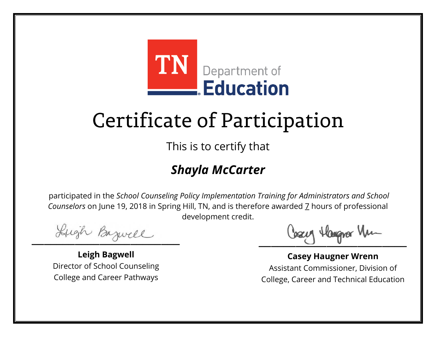

This is to certify that

### *Shayla McCarter*

Lugh Bazwell

**Leigh Bagwell** Director of School Counseling College and Career Pathways

Losey Hangra Vm

**Casey Haugner Wrenn** Assistant Commissioner, Division of College, Career and Technical Education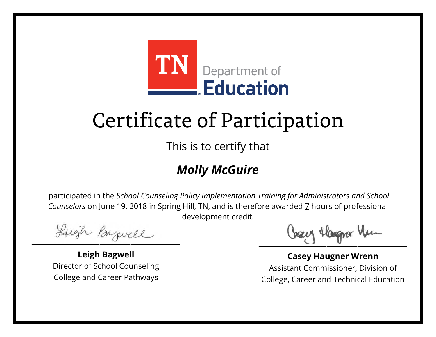

This is to certify that

### *Molly McGuire*

Lugh Bazwell

**Leigh Bagwell** Director of School Counseling College and Career Pathways

Losey Hangra Vm

**Casey Haugner Wrenn** Assistant Commissioner, Division of College, Career and Technical Education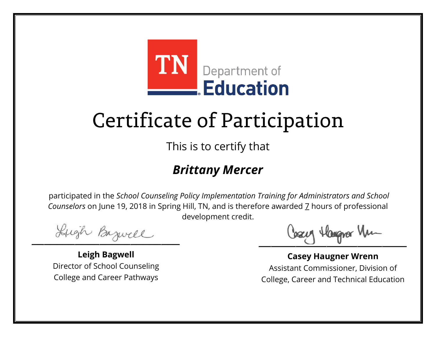

This is to certify that

#### *Brittany Mercer*

Lugh Bazwell

**Leigh Bagwell** Director of School Counseling College and Career Pathways

Losey Hangra Vm

**Casey Haugner Wrenn** Assistant Commissioner, Division of College, Career and Technical Education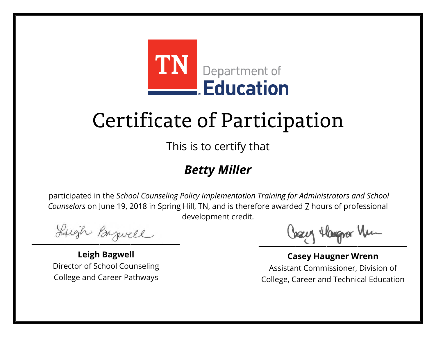

This is to certify that

### *Betty Miller*

Lugh Bazwell

**Leigh Bagwell** Director of School Counseling College and Career Pathways

Losey Hangra Vm

**Casey Haugner Wrenn** Assistant Commissioner, Division of College, Career and Technical Education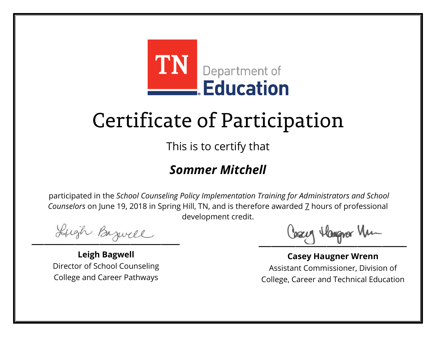

This is to certify that

### *Sommer Mitchell*

Lugh Bazwell

**Leigh Bagwell** Director of School Counseling College and Career Pathways

Losey Hangra Vm

**Casey Haugner Wrenn** Assistant Commissioner, Division of College, Career and Technical Education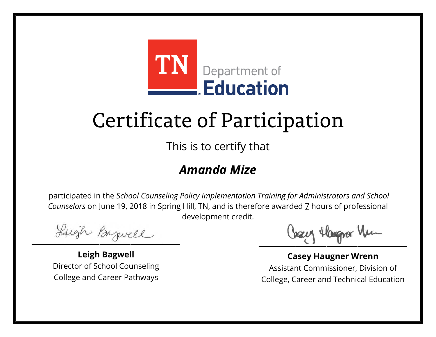

This is to certify that

#### *Amanda Mize*

Lugh Bazwell

**Leigh Bagwell** Director of School Counseling College and Career Pathways

Losey Hangra Vm

**Casey Haugner Wrenn** Assistant Commissioner, Division of College, Career and Technical Education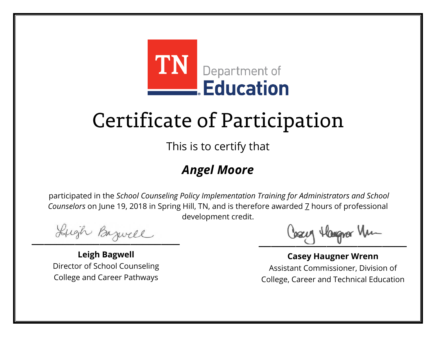

This is to certify that

### *Angel Moore*

Lugh Bazwell

**Leigh Bagwell** Director of School Counseling College and Career Pathways

Losey Hangra Vm

**Casey Haugner Wrenn** Assistant Commissioner, Division of College, Career and Technical Education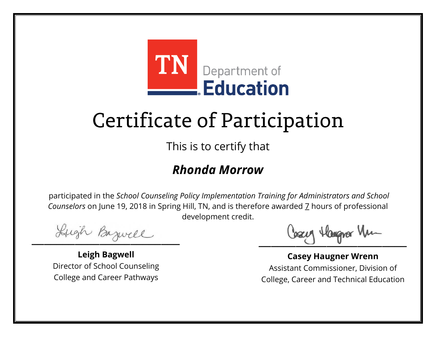

This is to certify that

### *Rhonda Morrow*

Lugh Bazwell

**Leigh Bagwell** Director of School Counseling College and Career Pathways

Losey Hangra Vm

**Casey Haugner Wrenn** Assistant Commissioner, Division of College, Career and Technical Education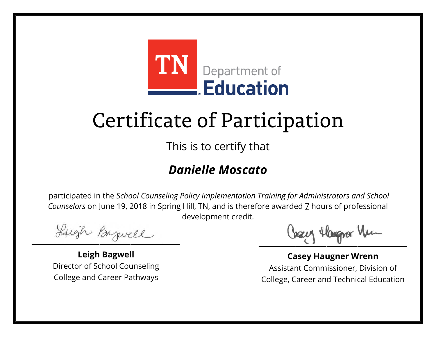

This is to certify that

### *Danielle Moscato*

Lugh Bazwell

**Leigh Bagwell** Director of School Counseling College and Career Pathways

Losey Hangra Vm

**Casey Haugner Wrenn** Assistant Commissioner, Division of College, Career and Technical Education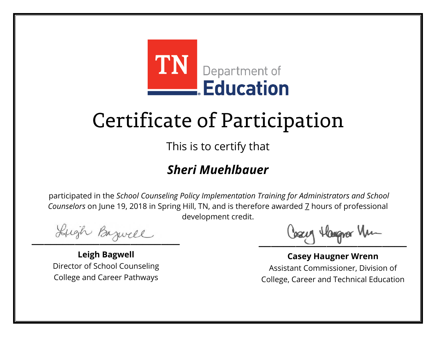

This is to certify that

### *Sheri Muehlbauer*

Lugh Bazwell

**Leigh Bagwell** Director of School Counseling College and Career Pathways

Losey Hangra Vm

**Casey Haugner Wrenn** Assistant Commissioner, Division of College, Career and Technical Education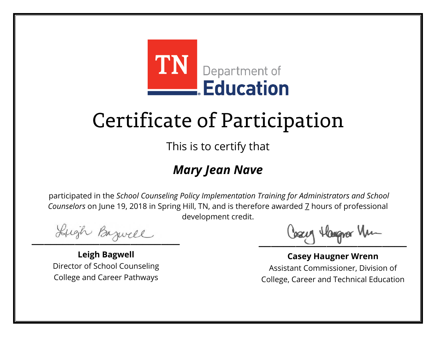

This is to certify that

### *Mary Jean Nave*

Lugh Bazwell

**Leigh Bagwell** Director of School Counseling College and Career Pathways

Losey Hangra Vm

**Casey Haugner Wrenn** Assistant Commissioner, Division of College, Career and Technical Education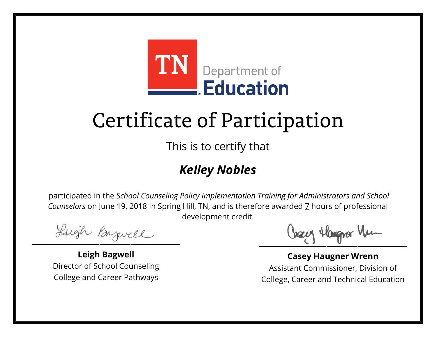

This is to certify that

### *Kelley Nobles*

Lugh Bazwell

**Leigh Bagwell** Director of School Counseling College and Career Pathways

Losey Hangra Vm

**Casey Haugner Wrenn** Assistant Commissioner, Division of College, Career and Technical Education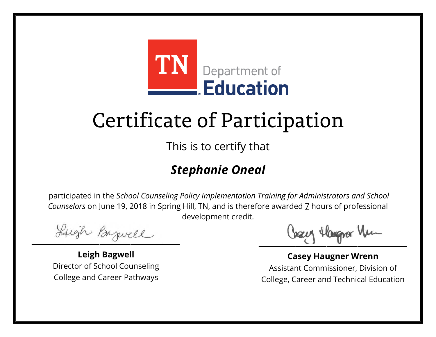

This is to certify that

### *Stephanie Oneal*

Lugh Bazwell

**Leigh Bagwell** Director of School Counseling College and Career Pathways

Losey Hangra Vm

**Casey Haugner Wrenn** Assistant Commissioner, Division of College, Career and Technical Education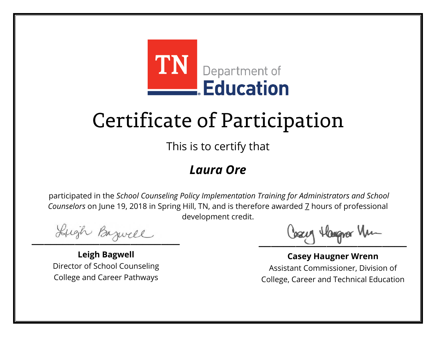

This is to certify that

#### *Laura Ore*

Lugh Bazwell

**Leigh Bagwell** Director of School Counseling College and Career Pathways

Losey Hangra Vm

**Casey Haugner Wrenn** Assistant Commissioner, Division of College, Career and Technical Education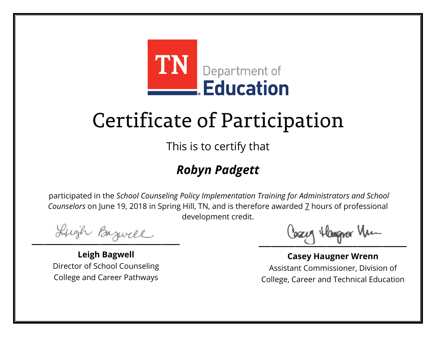

This is to certify that

### *Robyn Padgett*

Lugh Bazwell

**Leigh Bagwell** Director of School Counseling College and Career Pathways

Losey Hangra Vm

**Casey Haugner Wrenn** Assistant Commissioner, Division of College, Career and Technical Education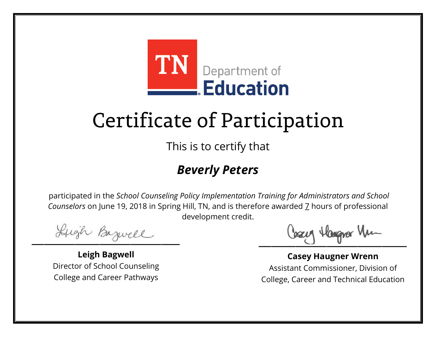

This is to certify that

### *Beverly Peters*

Lugh Bazwell

**Leigh Bagwell** Director of School Counseling College and Career Pathways

Losey Hangra Vm

**Casey Haugner Wrenn** Assistant Commissioner, Division of College, Career and Technical Education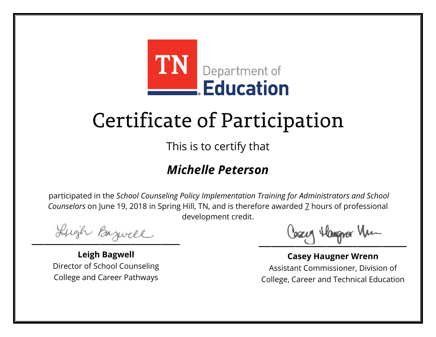

This is to certify that

### *Michelle Peterson*

Lugh Bazwell

**Leigh Bagwell** Director of School Counseling College and Career Pathways

Losey Hangra Vm

**Casey Haugner Wrenn** Assistant Commissioner, Division of College, Career and Technical Education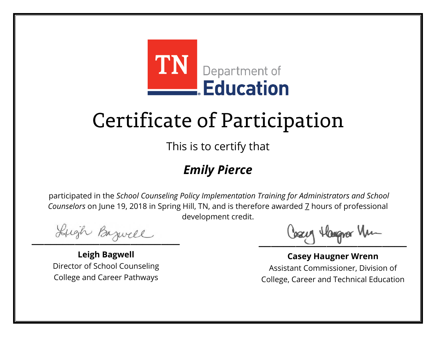

This is to certify that

### *Emily Pierce*

Lugh Bazwell

**Leigh Bagwell** Director of School Counseling College and Career Pathways

Losey Hangra Vm

**Casey Haugner Wrenn** Assistant Commissioner, Division of College, Career and Technical Education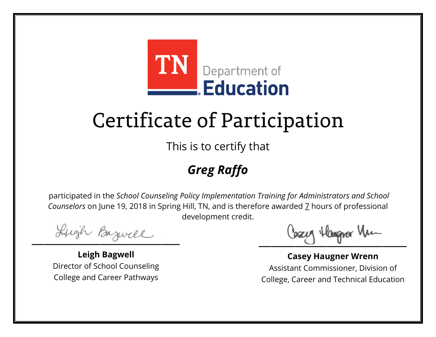

This is to certify that

### *Greg Raffo*

Lugh Bazwell

**Leigh Bagwell** Director of School Counseling College and Career Pathways

Losey Hangra Vm

**Casey Haugner Wrenn** Assistant Commissioner, Division of College, Career and Technical Education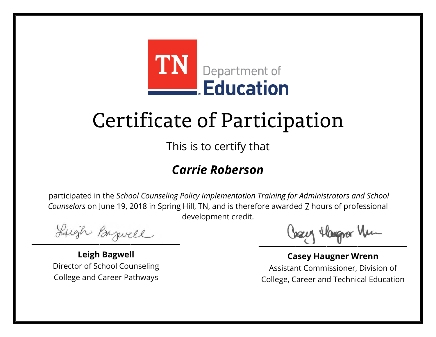

This is to certify that

### *Carrie Roberson*

Lugh Bazwell

**Leigh Bagwell** Director of School Counseling College and Career Pathways

Losey Hangra Vm

**Casey Haugner Wrenn** Assistant Commissioner, Division of College, Career and Technical Education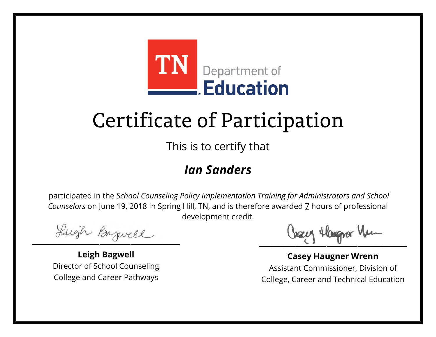

This is to certify that

#### *Ian Sanders*

Lugh Bazwell

**Leigh Bagwell** Director of School Counseling College and Career Pathways

Losey Hangra Vm

**Casey Haugner Wrenn** Assistant Commissioner, Division of College, Career and Technical Education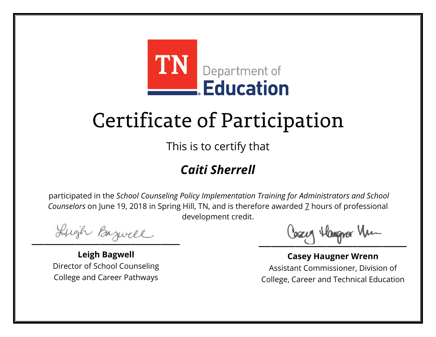

This is to certify that

### *Caiti Sherrell*

Lugh Bazwell

**Leigh Bagwell** Director of School Counseling College and Career Pathways

Losey Hangra Vm

**Casey Haugner Wrenn** Assistant Commissioner, Division of College, Career and Technical Education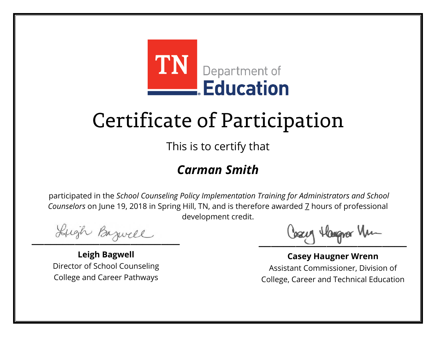

This is to certify that

### *Carman Smith*

Lugh Bazwell

**Leigh Bagwell** Director of School Counseling College and Career Pathways

Losey Hangra Vm

**Casey Haugner Wrenn** Assistant Commissioner, Division of College, Career and Technical Education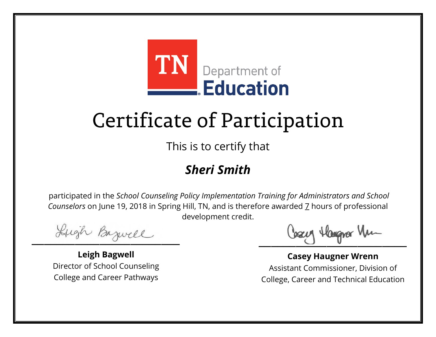

This is to certify that

### *Sheri Smith*

Lugh Bazwell

**Leigh Bagwell** Director of School Counseling College and Career Pathways

Losey Hangra Vm

**Casey Haugner Wrenn** Assistant Commissioner, Division of College, Career and Technical Education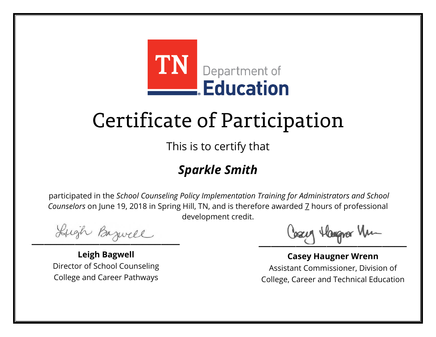

This is to certify that

### *Sparkle Smith*

Lugh Bazwell

**Leigh Bagwell** Director of School Counseling College and Career Pathways

Losey Hangra Vm

**Casey Haugner Wrenn** Assistant Commissioner, Division of College, Career and Technical Education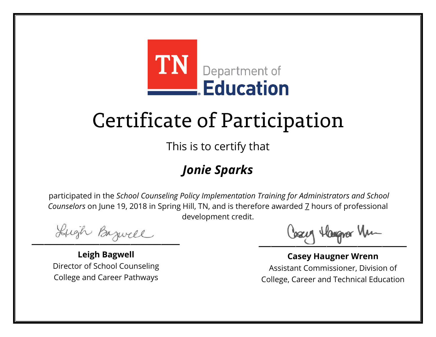

This is to certify that

### *Jonie Sparks*

Lugh Bazwell

**Leigh Bagwell** Director of School Counseling College and Career Pathways

Losey Hangra Vm

**Casey Haugner Wrenn** Assistant Commissioner, Division of College, Career and Technical Education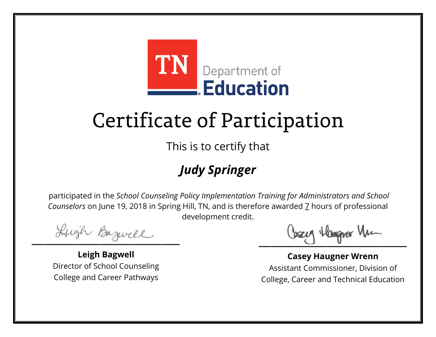

This is to certify that

### *Judy Springer*

Lugh Bazwell

**Leigh Bagwell** Director of School Counseling College and Career Pathways

Losey Hangra Vm

**Casey Haugner Wrenn** Assistant Commissioner, Division of College, Career and Technical Education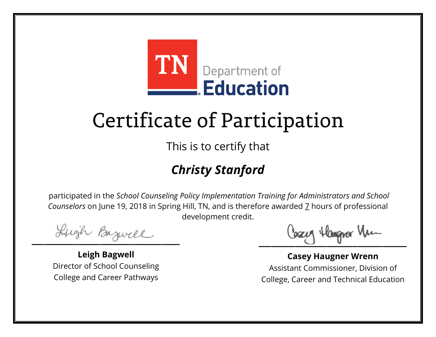

This is to certify that

### *Christy Stanford*

Lugh Bazwell

**Leigh Bagwell** Director of School Counseling College and Career Pathways

Losey Hangra Vm

**Casey Haugner Wrenn** Assistant Commissioner, Division of College, Career and Technical Education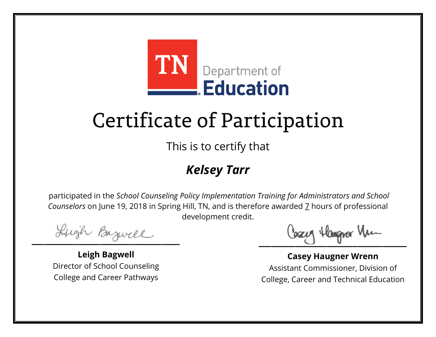

This is to certify that

### *Kelsey Tarr*

Lugh Bazwell

**Leigh Bagwell** Director of School Counseling College and Career Pathways

Losey Hangra Vm

**Casey Haugner Wrenn** Assistant Commissioner, Division of College, Career and Technical Education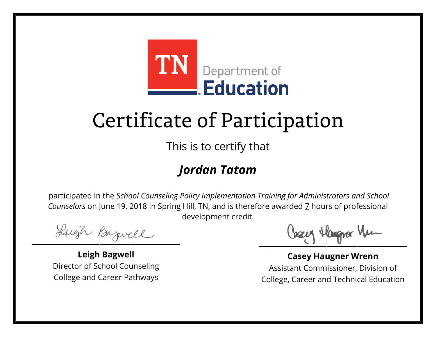

This is to certify that

### *Jordan Tatom*

Lugh Bazwell

**Leigh Bagwell** Director of School Counseling College and Career Pathways

Losey Hangra Vm

**Casey Haugner Wrenn** Assistant Commissioner, Division of College, Career and Technical Education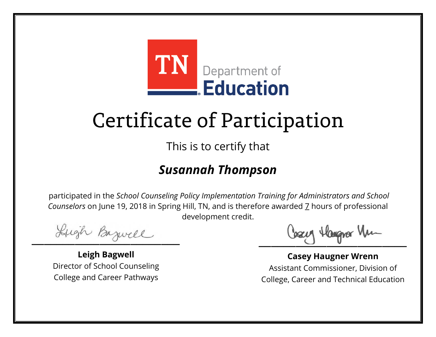

This is to certify that

### *Susannah Thompson*

Lugh Bazwell

**Leigh Bagwell** Director of School Counseling College and Career Pathways

Losey Hangra Vm

**Casey Haugner Wrenn** Assistant Commissioner, Division of College, Career and Technical Education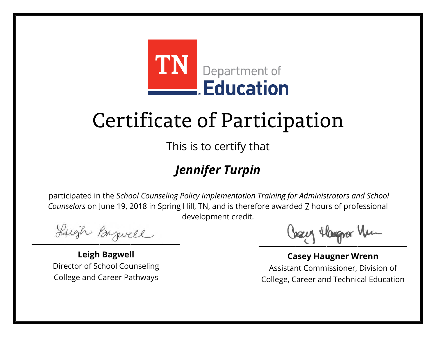

This is to certify that

### *Jennifer Turpin*

Lugh Bazwell

**Leigh Bagwell** Director of School Counseling College and Career Pathways

Losey Hangra Vm

**Casey Haugner Wrenn** Assistant Commissioner, Division of College, Career and Technical Education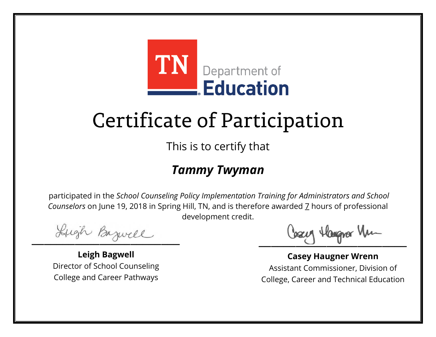

This is to certify that

### *Tammy Twyman*

Lugh Bazwell

**Leigh Bagwell** Director of School Counseling College and Career Pathways

Losey Hangra Vm

**Casey Haugner Wrenn** Assistant Commissioner, Division of College, Career and Technical Education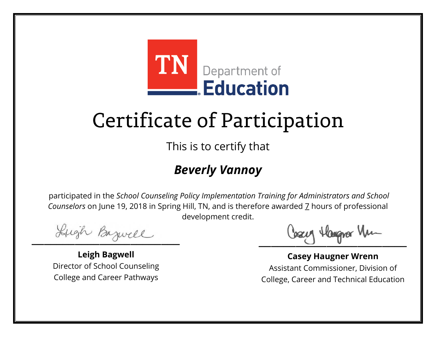

This is to certify that

### *Beverly Vannoy*

Lugh Bazwell

**Leigh Bagwell** Director of School Counseling College and Career Pathways

Losey Hangra Vm

**Casey Haugner Wrenn** Assistant Commissioner, Division of College, Career and Technical Education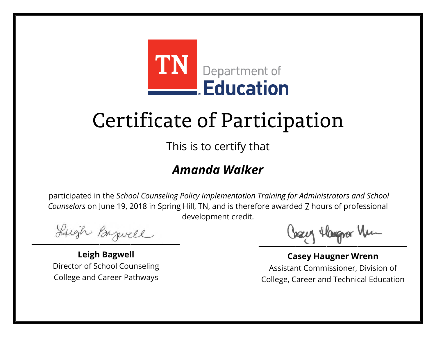

This is to certify that

### *Amanda Walker*

Lugh Bazwell

**Leigh Bagwell** Director of School Counseling College and Career Pathways

Losey Hangra Vm

**Casey Haugner Wrenn** Assistant Commissioner, Division of College, Career and Technical Education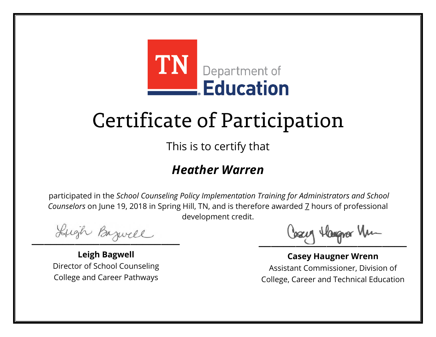

This is to certify that

#### *Heather Warren*

Lugh Bazwell

**Leigh Bagwell** Director of School Counseling College and Career Pathways

Losey Hangra Vm

**Casey Haugner Wrenn** Assistant Commissioner, Division of College, Career and Technical Education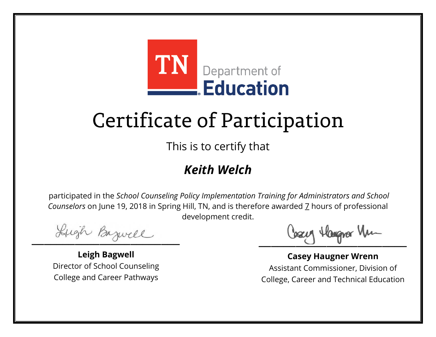

This is to certify that

### *Keith Welch*

Lugh Bazwell

**Leigh Bagwell** Director of School Counseling College and Career Pathways

Losey Hangra Vm

**Casey Haugner Wrenn** Assistant Commissioner, Division of College, Career and Technical Education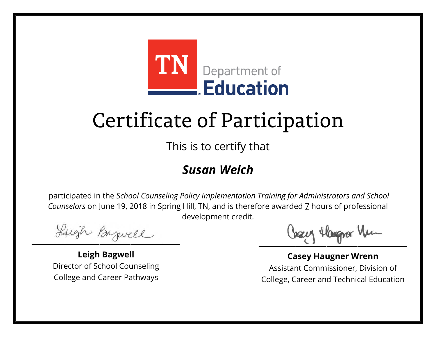

This is to certify that

### *Susan Welch*

Lugh Bazwell

**Leigh Bagwell** Director of School Counseling College and Career Pathways

Losey Hangra Vm

**Casey Haugner Wrenn** Assistant Commissioner, Division of College, Career and Technical Education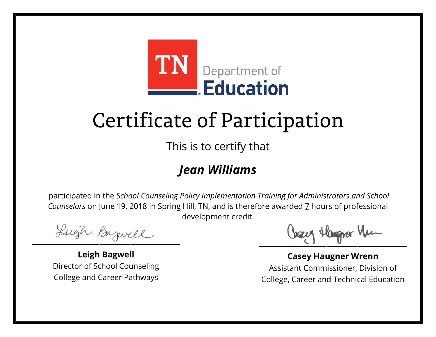

This is to certify that

### *Jean Williams*

Lugh Bazwell

**Leigh Bagwell** Director of School Counseling College and Career Pathways

Losey Hangra Vm

**Casey Haugner Wrenn** Assistant Commissioner, Division of College, Career and Technical Education